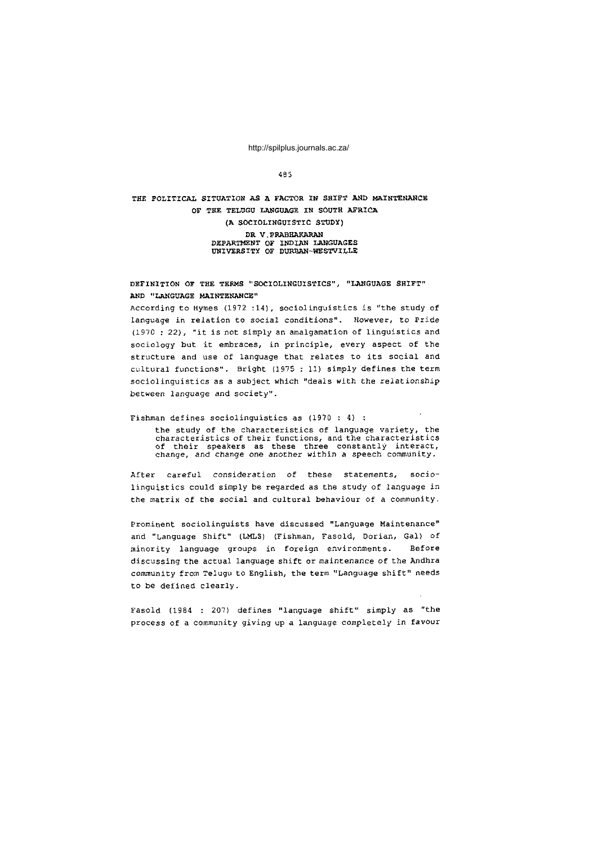4 B 5

## **T HE POLiriCA L SITUATIO N A S A FACTO R IN SHIF T AN D MAINTENANC E**  OF THE TELUGU LANGUAGE IN SOUTH AFRICA **(A SOCIOLINGUISTI C STUDY ) DR V.PRABHAKARAN** DEPARTMENT OF INDIAN LANGUAGES **UNIVERSIT Y OF DURBAN-WESTVILL E**

**DEFINITIO N OF TH E TERM S "SOCIOLINGUISTICS" , "LANGUAG E SHIFT " A N D "LANGUAG E MAINTENANCE "** 

According to Hymes (1972 :14), sociolinguistics is "the study of language in relation to social conditions". However, to Pride (1970 : 22), "it is not simply an amalgamation of linguistics and sociology but it embraces, in principle, every aspect of the structure and use of language that relates to its social and cultural functions". Bright (1975 : 11) simply defines the term sociolinguistics as a subject which "deals with the relationship between language and society".

Fishman defines sociolinguistics as  $(1970 : 4)$  : the study of the characteristics of language variety, the characteristics of their functions, and the characteristics<br>of their speakers as these three constantly interact,<br>change, and change one another within a speech community.

After careful consideration of these statements, sociolinguistics could simply be regarded as the study of language in the matrix of the social and cultural behaviour of a community.

Prominent sociolinguists have discussed "Language Maintenance" and "Language Shift" (LMLS) (Fishman, Fasold, Dorian, Gal) of minority language groups in foreign environments. Before discussing the actual language shift or maintenance of the Andhra community from Telugu to English, the term "Language shift" needs to be defined clearly.

Fasold (1984 : 207) defines "language shift" simply as "the process of a community giving up a language completely in favour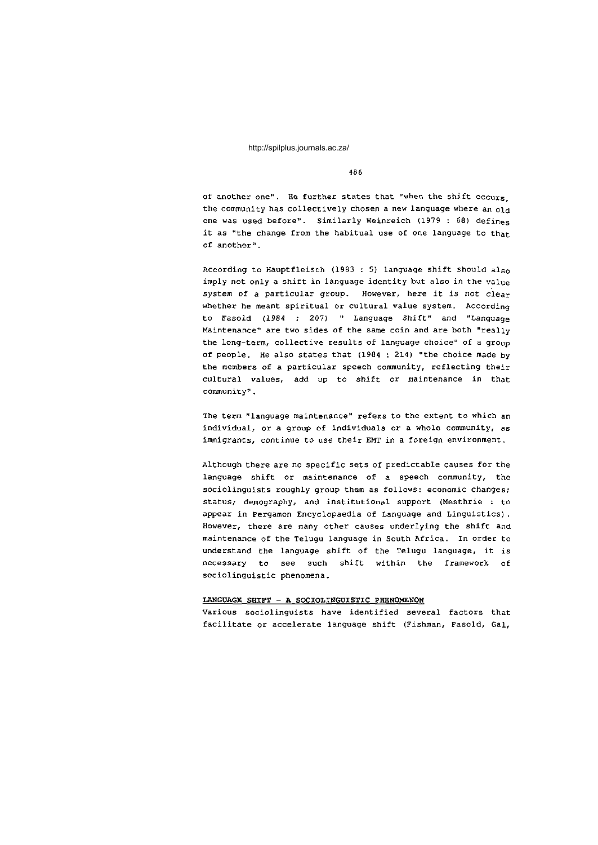4 8 6

of another one". He further states that "when the shift occurs the community has collectively chosen a new language where an  $q_{1d}$ one was used before". Similarly Weinreich (1979 : 68) defines it as "the change from the habitual use of one language to that of another" .

According to Hauptfleisch (1983 : 5) language shift should also imply not only a shift in language identity but also in the value system of a particular group. However, here it is not clear whether he meant spiritual or cultural value system. According to Fasold (1984 : 207) " Language Shift" and "Language Maintenance" are two sides of the same coin and are both "really the long-term, collective results of language choice" of a group of people. He also states that  $(1984 : 214)$  "the choice made by the members of a particular speech community, reflecting their cultural values, add up to shift or maintenance in that community".

The term "language maintenance" refers to the extent to which an individual, or a group of individuals or a whole community, as immigrants, continue to use their EMT in a foreign environment.

Although there are no specific sets of predictable causes for the language shift or maintenance of a speech community, the sociolinguists roughly group them as follows: economic changes; status; demography, and institutional support (Mesthrie : to appear in Pergamon Encyclopaedia of Language and Linguistics). However, there are many other causes underlying the shift and maintenance of the Telugu language in South Africa. In order to understand the language shift of the Telugu language, it is necessary to see such shift within the framework of sociolinguistic phenomena.

#### LANGUAGE SHIFT - A SOCIOLINGUISTIC PHENOMENON

Various sociolinguists have identified several factors that facilitate or accelerate language shift (Fishman, Fasold, Gal,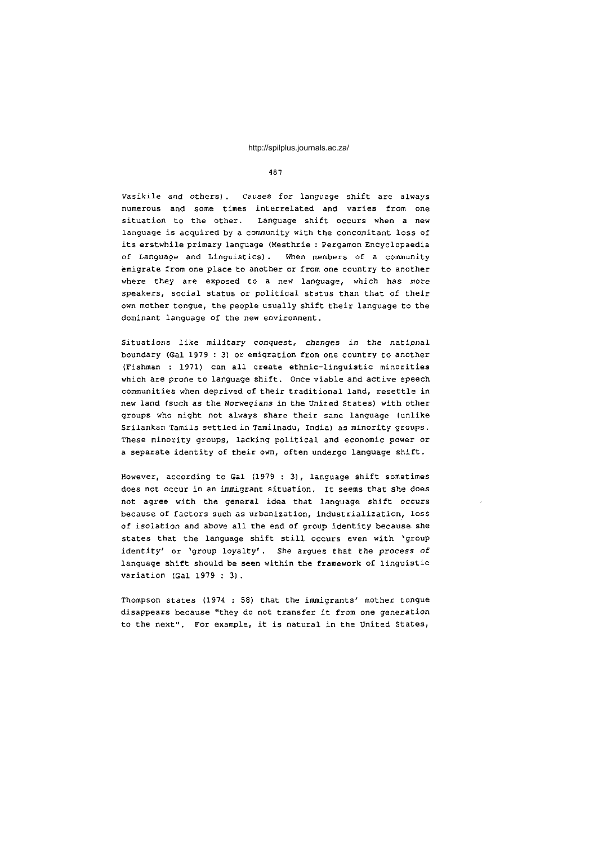## 487

Vasikile and others). Causes for language shift are always numerous and some times interrelated and varies from one situation to the other. Language shift occurs when a new language is acquired by a community with the concomitant loss of its erstwhile primary language (Mesthrie : Pergamon Encyclopaedia of Language and Linguistics). When members of a community emigrate from one place to another or from one country to another where they are exposed to a new language, which has more speakers, social status or political status than that of their own mother tongue, the people usually shift their language to the dominant language of the new environment.

Situations like military conquest, changes in the national boundary (Gal 1979 : 3) or emigration from one country to another (Fishman : 1971) can all create ethnic-linguistic minorities which are prone to language shift. Once viable and active speech communities when deprived of their traditional land, resettle in new land (such as the Norwegians in the United States) with other groups who might not always share their same language (unlike Srilankan Tamils settled in Tamilnadu, India) as minority groups. These minority groups, lacking political and economic power or a separate identity of their own, often undergo language shift.

However, according to Gal (1979 : 3), language shift sometimes does not occur in an immigrant situation. It seems that she does not agree with the general idea that language shift occurs because of factors such as urbanization, industrialization, loss of isolation and above all the end of group identity because she states that the language shift still occurs even with 'group identity' or 'group loyalty'. She argues that the process of language shift should be seen within the framework of linguistic variation (Gal  $1979:3$ ).

Thompson states (1974 : 58) that the immigrants' mother tongue disappears because "they do not transfer it from one generation to the next". For example, it is natural in the United States,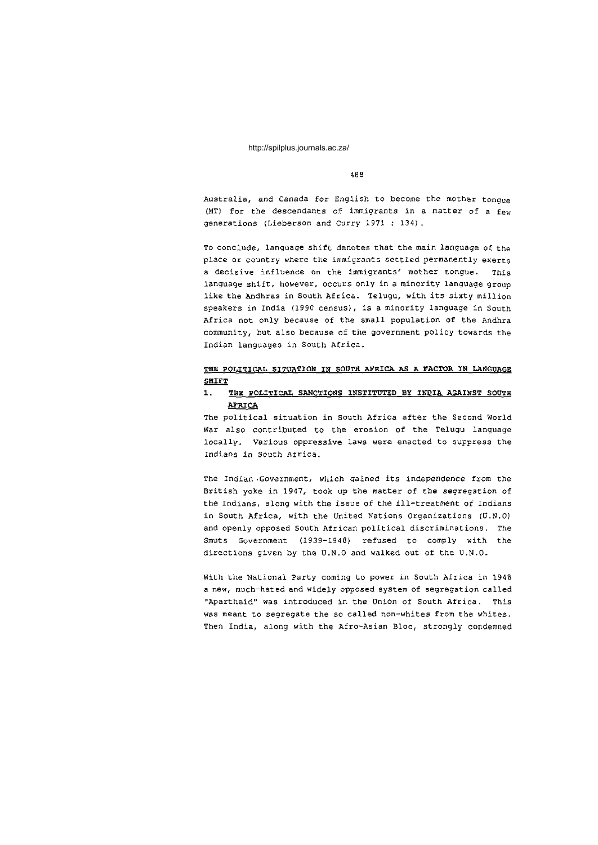4 8 8

Australia, and Canada for English to become the mother tongue (MT) for the descendants of immigrants in a matter of a few generations (Lieberson and Curry 1971 : 134).

To conclude, language shift denotes that the main language of the place or country where the immigrants settled permanently exerts a decisive influence on the immigrants' mother tongue. This language shift, however, occurs only in a minority language group like the Andhras in South Africa. Telugu, with its sixty million speakers in India (1990 census), is a minority language in South Africa not only because of the small population of the Andhra community, but also because of the government policy towards the Indian languages in South Africa.

## THE POLITICAL SITUATION IN SOUTH AFRICA AS A FACTOR IN LANGUAGE **SHIFT**

# 1. THE POLITICAL SANCTIONS INSTITUTED BY INDIA AGAINST SOUTH **AFRICA**

The political situation in South Africa after the Second World War also contributed to the erosion of the Telugu language locally. Various oppressive laws were enacted to suppress the Indians in South Africa.

The Indian.Government, which gained its independence from the British yoke in 1947, took up the matter of the segregation of the Indians, along with the issue of the ill-treatment of Indians in South Africa, with the United Nations Organizations (U.N.O) and openly opposed South African political discriminations. The Smuts Government (1939-1948) refused to comply with the directions given by the U.N.O and walked out of the U.N.O.

With the National Party coming to power in South Africa in 1948 a new, much-hated and widely opposed system of segregation called "Apartheid" was introduced in the Union of South Africa. This was meant to segregate the so called non-whites from the whites. Then India, along with the Afro-Asian Bloc, strongly condemned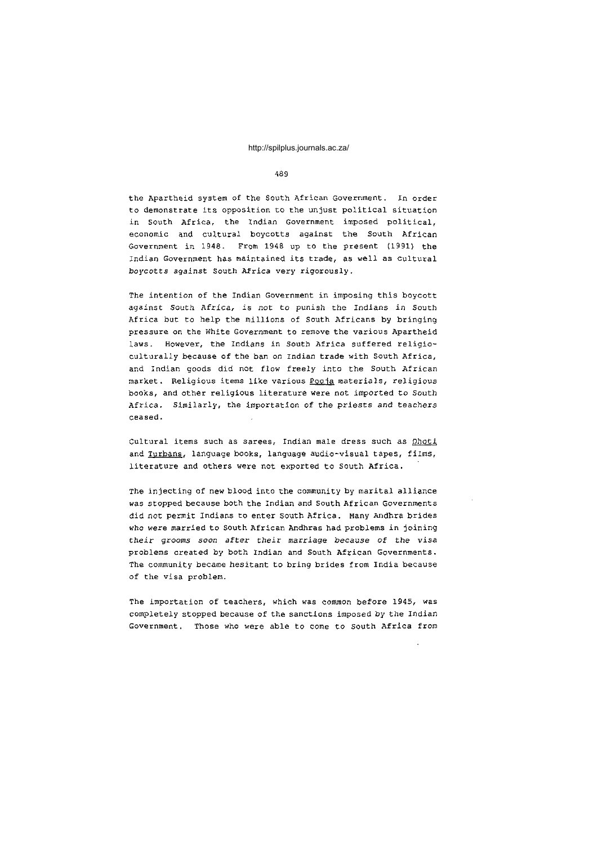489

the Apartheid system of the South African Government. In order to demonstrate its opposition to the unjust political situation in South Africa, the Indian Government imposed political, economic and cultural boycotts against the South African Government in 1948. From 1948 up to the present (1991) the Indian Government has maintained its trade, as well as cultural boycotts against South Africa very rigorously.

The intention of the Indian Government in imposing this boycott against South Africa, is not to punish the Indians in South Africa but to help the millions of South Africans by bringing pressure on the White Government to remove the various Apartheid laws. However, the Indians in South Africa suffered religioculturally because of the ban on Indian trade with South Africa, and Indian goods did not flow freely into the South African market. Religious items like various Pooja materials, religious books, and other religious literature were not imported to South Africa. Similarly, the importation of the priests and teachers ceased .

Cultural items such as sarees, Indian male dress such as Dhoti and Turbans, language books, language audio-visual tapes, films, literature and others were not exported to South Africa.

The injecting of new blood into the community by marital alliance was stopped because both the Indian and South African Governments did not permit Indians to enter South Africa. Many Andhra brides who were married to South African Andhras had problems in joining their grooms soon after their marriage because of the visa problems created by both Indian and South African Governments. The community became hesitant to bring brides from India because of the visa problem.

The importation of teachers, which was common before 1945, was completely stopped because of the sanctions imposed by the Indian Government. Those who were able to come to South Africa from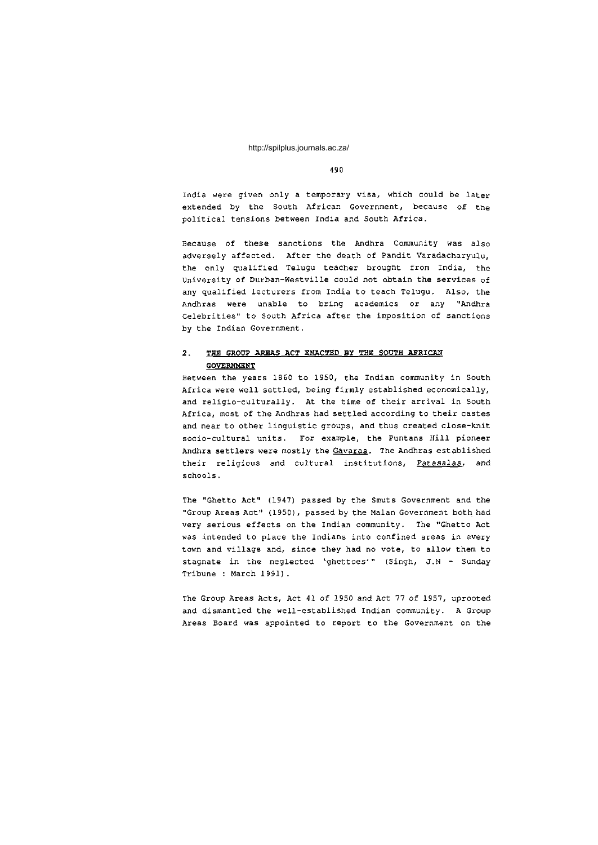4 9 0

India were given only a temporary visa, which could be later extended by the South African Government, because of the political tensions between India and South Africa.

Because of these sanctions the Andhra Community was also adversely affected. After the death of Pandit Varadacharyulu, the only qualified Telugu teacher brought from India, the University of Durban-Westville could not obtain the services of any qualified lecturers from India to teach Telugu. Also, the Andhras were unable to bring academics or any "Andhra Celebrities" to South Africa after the imposition of sanctions by the Indian Government.

# **2. THE GROUP AREAS ACT ENACTED BY THE SOUTH AFRICAN GOVERNMENT**

Between the years 1860 to 1950, the Indian community in South Africa were well settled, being firmly established economically, and religio-culturally. At the time of their arrival in South Africa, most of the Andhras had settled according to their castes and near to other linguistic groups, and thus created close-knit socio-cultural units. For example, the Puntans Hill pioneer Andhra settlers were mostly the Gavaras. The Andhras established their religious and cultural institutions, Patasalas, and schools .

The "Ghetto Act" (1947) passed by the Smuts Government and the "Group Areas Act" (1950), passed by the Malan Government both had very serious effects on the Indian community. The "Ghetto Act was intended to place the Indians into confined areas in every town and village and, since they had no vote, to allow them to stagnate in the neglected 'ghettoes'" (Singh, J.N - Sunday Tribune : March 1991).

The Group Areas Acts, Act 41 of 1950 and Act 77 of 1957, uprooted and dismantled the well-established Indian community. A Group Areas Board was appointed to report to the Government on the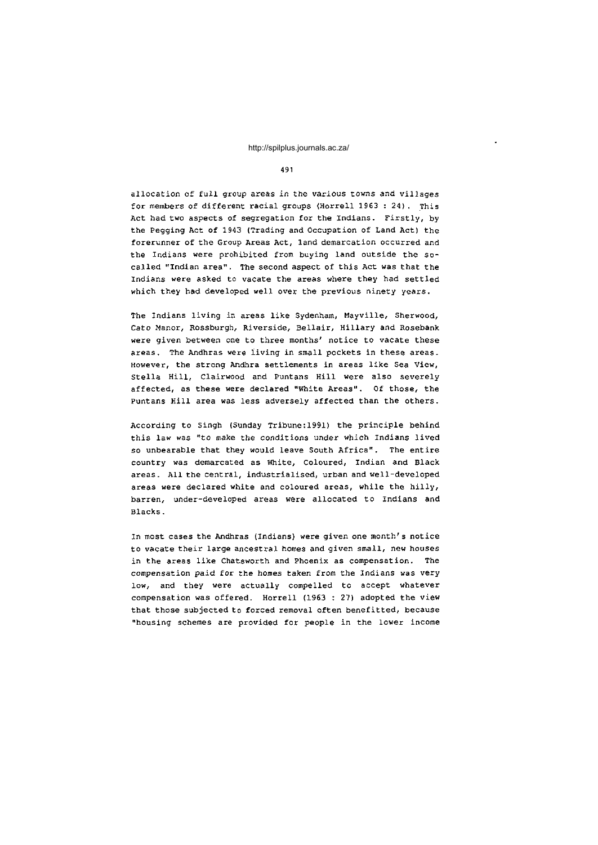4 91

allocation of full group areas in the various towns and villages for members of different racial groups (Horrell 1963 : 24). This Act had two aspects of segregation for the Indians. Firstly, by the Pegging Act of 1943 (Trading and Occupation of Land Act) the forerunner of the Group Areas Act, land demarcation occurred and the Indians were prohibited from buying land outside the socalled "Indian area". The second aspect of this Act was that the Indians were asked to vacate the areas where they had settled which they had developed well over the previous ninety years.

The Indians living in areas like Sydenham, Mayville, Sherwood, Cato Manor, Rossburgh, Riverside, Bellair, Hillary and Rosebank were given between one to three months' notice to vacate these areas. The Andhras were living in small pockets in these areas. However, the strong Andhra settlements in areas like Sea View, Stella Hill, Clairwood and Puntans Hill were also severely affected, as these were declared "White Areas". Of those, the Puntans Hill area was less adversely affected than the others.

According to Singh (Sunday Tribune:1991) the principle behind this law was "to make the conditions under which Indians lived so unbearable that they would leave South Africa". The entire country was demarcated as White, Coloured, Indian and Black areas. All the central, industrialised, urban and well-developed areas were declared white and coloured areas, while the hilly, barren, under-developed areas were allocated to Indians and Blacks .

In most cases the Andhras (Indians) were given one month's notice to vacate their large ancestral homes and given small, new houses in the areas like Chatsworth and Phoenix as compensation. The compensation paid for the homes taken from the Indians was very low, and they were actually compelled to accept whatever compensation was offered. Horrell (1963 : 27) adopted the view that those subjected to forced removal often benefitted, because "housing schemes are provided for people in the lower income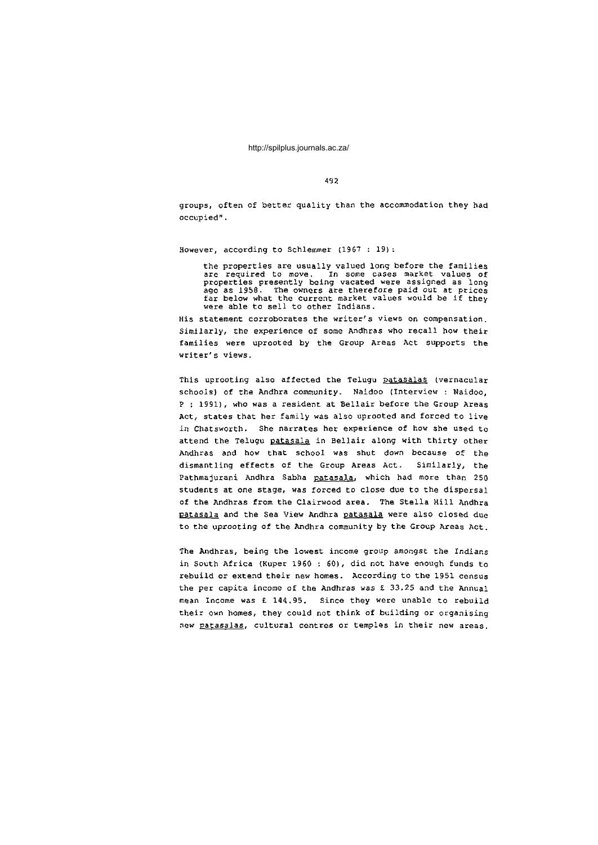4 9 2

groups, often of better quality than the accommodation they had occupied" .

However, according to Schlemmer  $(1967 : 19)$ :

the properties are usually valued long before the families are required to move. In some cases market values of<br>properties presently being vacated were assigned as long<br>ago as 1958. The owners are therefore paid out at prices far below what the current market values would be if they were able to sell to other Indians.

His statement corroborates the writer's views on compensation. Similarly, the experience of some Andhras who recall how their families were uprooted by the Group Areas Act supports the writer's views.

This uprooting also affected the Telugu patasalas (vernacular schools) of the Andhra community. Naidoo (Interview : Naidoo, P : 1991), who was a resident at Bellair before the Group Areas Act, states that her family was also uprooted and forced to live in Chatsworth. She narrates her experience of how she used to attend the Telugu patasala in Bellair along with thirty other Andhras and how that school was shut down because of the dismantling effects of the Group Areas Act. Similarly, the Pathmajurani Andhra Sabha patasala, which had more than 250 students at one stage, was forced to close due to the dispersal of the Andhras from the Clairwood area. The Stella Hill Andhra patasala and the Sea View Andhra patasala were also closed due to the uprooting of the Andhra community by the Group Areas Act.

The Andhras, being the lowest income group amongst the Indians in South Africa (Kuper 1960 : 60), did not have enough funds to rebuild or extend their new homes. According to the 1951 census the per capita income of the Andhras was  $\pounds$  33.25 and the Annual mean Income was £ 144.95. Since they were unable to rebuild their own homes, they could not think of building or organising new patasalas, cultural centres or temples in their new areas.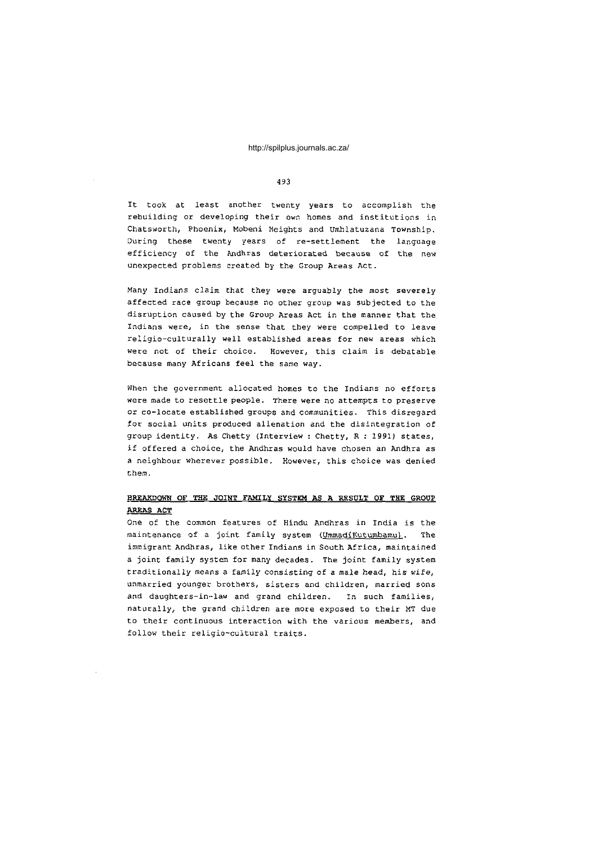## 493

It took at least another twenty years to accomplish the rebuilding or developing their own homes and institutions in Chatsworth, Phoenix, Mobeni Heights and Umhlatuzana Township. During these twenty years of re-settlement the language efficiency of the Andhras deteriorated because of the new unexpected problems created by the Group Areas Act.

Many Indians claim that they were arguably the most severely affected race group because no other group was subjected to the disruption caused by the Group Areas Act in the manner that the Indians were, in the sense that they were compelled to leave religio-culturally well established areas for new areas which were not of their choice. However, this claim is debatable because many Africans feel the same way.

When the government allocated homes to the Indians no efforts were made to resettle people. There were no attempts to preserve or co-locate established groups and communities. This disregard for social units produced alienation and the disintegration of group identity. As Chetty (Interview : Chetty, R : 1991) states, if offered a choice, the Andhras would have chosen an Andhra as a neighbour wherever possible. However, this choice was denied them .

## **BREAKDOWN OF THE JOINT FAMILY SYSTEM AS A RESULT OF THE GROUP AREA S AC T**

One of the common features of Hindu Andhras in India is the maintenance of a joint family system (UmmadiKutumbamu). The immigrant Andhras, like other Indians in South Africa, maintained a joint family system for many decades. The joint family system traditionally means a family consisting of a male head, his wife, unmarried younger brothers, sisters and children, married sons and daughters-in-law and grand children. In such families, naturally, the grand children are more exposed to their MT due to their continuous interaction with the various members, and follow their religio-cultural traits.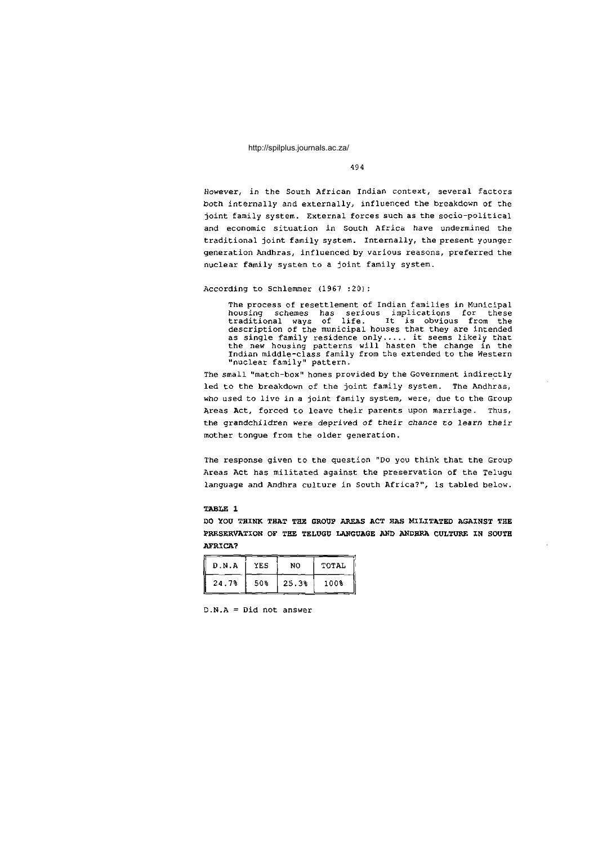## 4 9 4

However, in the South African Indian context, several factors both internally and externally, influenced the breakdown of the joint family system. External forces such as the socio-political and economic situation in South Africa have undermined the traditional joint family system. Internally, the present younger generation Andhras, influenced by various reasons, preferred the nuclear family system to a joint family system.

#### According to Schlemmer (1967:20):

The process of resettlement of Indian families in Municipal housing schemes has serious implications for these traditional ways of life. It is obvious from the description of the municipal houses that they are intended as single family residence only..... it seems likely that the new housing patterns will hasten the change in the Indian middle-class family from the extended to the Western "nuclear family" pattern .

The small "match-box" homes provided by the Government indirectly led to the breakdown of the joint family system. The Andhras, who used to live in a joint family system, were, due to the Group Areas Act, forced to leave their parents upon marriage. Thus, the grandchildren were deprived of their chance to learn their mother tongue from the older generation.

The response given to the question "Do you think that the Group Areas Act has militated against the preservation of the Telugu language and Andhra culture in South Africa?", is tabled below.

## **TABLE 1**

**DO XOU THINK THAT THE GROtJP AREAS ACT HAS MILITATED AGAINST THE**  PRESERVATION OF THE TELUGU LANGUAGE AND ANDHRA CULTURE IN SOUTH **AFRICA?** 

| D.N.A | YES | NO.   | TOTAL |
|-------|-----|-------|-------|
| 24.7% | 50% | 25.3% | 1008  |

 $D.N.A = Did not answer$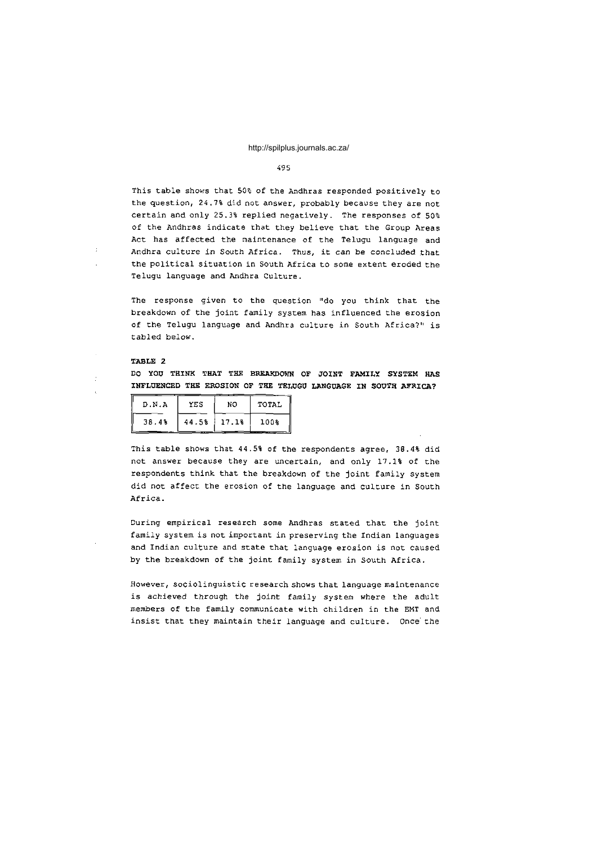#### 4 9 5

This table shows that 50% of the Andhras responded positively to the question, 24.7% did not answer, probably because they are not certain and only 25.3% replied negatively. The responses of  $50\%$ of the Andhras indicate that they believe that the Group Areas Act has affected the maintenance of the Telugu language and Andhra culture in South Africa. Thus, it can be concluded that the political situation in South Africa to some extent eroded the Telugu language and Andhra Culture.

The response given to the question "do you think that the breakdown of the joint family system has influenced the erosion of the Telugu language and Andhra culture in South Africa?" is tabled below.

#### **TABLE 2**

**DO YOU THINK THAT THE BREAKDOWN OP JOINT FAMILY SYSTEM HAS INFLUENCED THE EROSION OF THE TELUGU LANGUAGE IN SOUTH AFRICA?** 

| D.N.A | YES   | NO    | TOTAL |  |
|-------|-------|-------|-------|--|
| 38.4% | 44.5% | 17.1% | 100%  |  |

This table shows that 44.5% of the respondents agree, 38.4% did not answer because they are uncertain, and only 17.1% of the respondents think that the breakdown of the joint family system did not affect the erosion of the language and culture in South Africa .

During empirical research some Andhras stated that the joint family system is not important in preserving the Indian languages and Indian culture and state that language erosion is not caused by the breakdown of the joint family system in South Africa.

However, sociolinguistic research shows that language maintenance is achieved through the joint family system where the adult members of the family communicate with children in the EMT and insist that they maintain their language and culture. Once the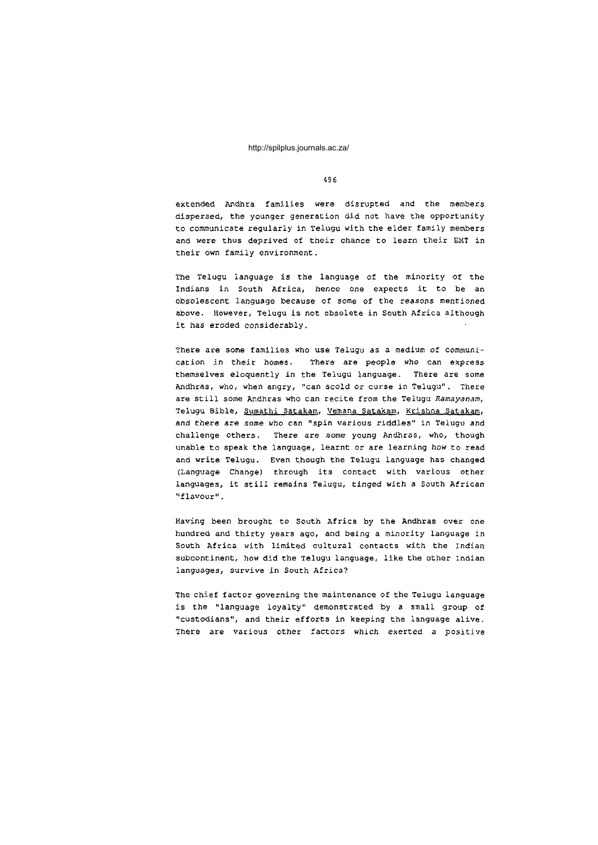#### 4 9 6

extended Andhra families were disrupted and the members dispersed, the younger generation did not have the opportunity to communicate regularly in Telugu with the elder family members and were thus deprived of their chance to learn their EMT in their own family environment.

The Telugu language is the language of the minority of the Indians in South Africa, hence one expects it to be an obsolescent language because of some of the reasons mentioned above. However, Telugu is not obsolete in South Africa although it has eroded considerably,

There are some families who use Telugu as a medium of communication in their homes. There are people who can express themselves eloquently in the Telugu language. There are some Andhras, who, when angry, "can scold or curse in Telugu". There are still some Andhras who can recite from the Telugu Ramayanam, Telugu Bible, Sumathi Satakam, Vemana Satakam, Krishna Satakam, and there are some who can "spin various riddles" in Telugu and challenge others. There are some young Andhras, who, though unable to speak the language, learnt or are learning how to read and write Telugu. Even though the Telugu language has changed (Language Change) through its contact with various other languages, it still remains Telugu, tinged with a South African "flavour " .

Having been brought to South Africa by the Andhras over one hundred and thirty years ago, and being a minority language in South Africa with limited cultural contacts with the Indian subcontinent, how did the Telugu language, like the other Indian languages, survive in South Africa?

The chief factor governing the maintenance of the Telugu language is the "language loyalty" demonstrated by a small group of "custodians", and their efforts in keeping the language alive. There are various other factors which exerted a positive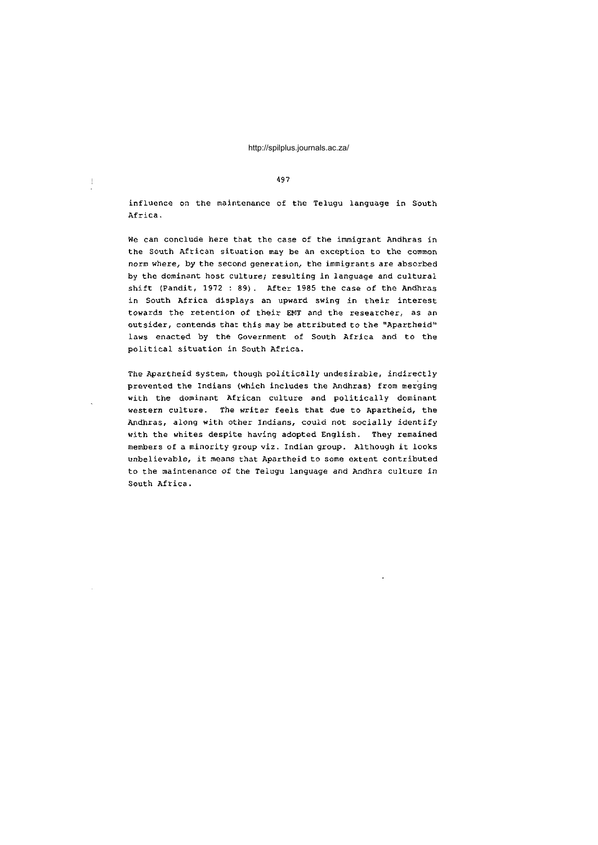#### 4 9 7

 $\mathbf{I}$ 

influence on the maintenance of the Telugu language in South Africa .

We can conclude here that the case of the immigrant Andhras in the South African situation may be an exception to the common norm where, by the second generation, the immigrants are absorbed by the dominant host culture; resulting in language and cultural shift (Pandit, 1972 : 89). After 1985 the case of the Andhras in South Africa displays an upward swing in their interest towards the retention of their EMT and the researcher, as an outsider, contends that this may be attributed to the "Apartheid" laws enacted by the Government of South Africa and to the political situation in South Africa.

The Apartheid system, though politically undesirable, indirectly prevented the Indians (which includes the Andhras) from merging with the dominant African culture and politically dominant western culture. The writer feels that due to Apartheid, the Andhras, along with other Indians, could not socially identify with the whites despite having adopted English. They remained members of a minority group viz. Indian group. Although it looks unbelievable, it means that Apartheid to some extent contributed to the maintenance of the Telugu language and Andhra culture in South Africa.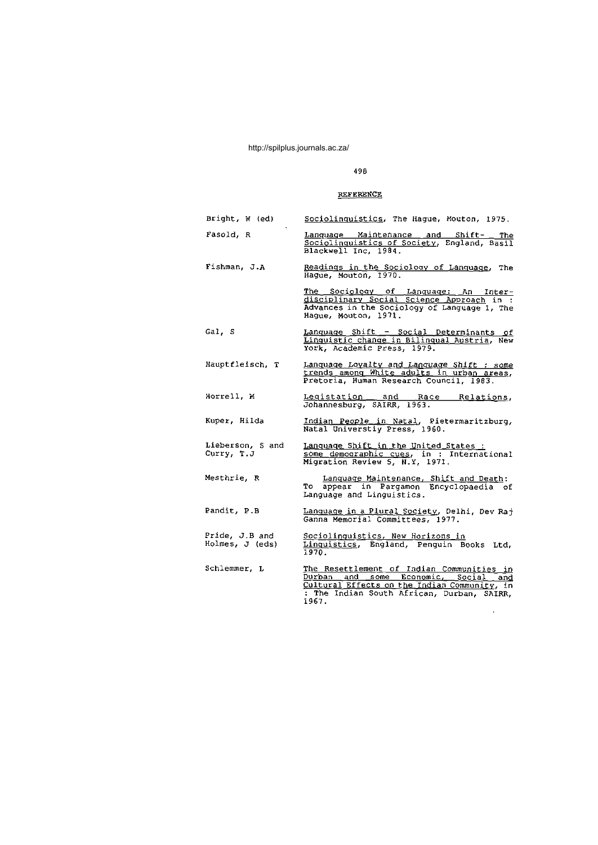# 498

# **REFERENCE**

| Bright, W (ed)                    | Sociolinquistics, The Haque, Mouton, 1975.                                                                                                                                             |  |  |  |  |
|-----------------------------------|----------------------------------------------------------------------------------------------------------------------------------------------------------------------------------------|--|--|--|--|
| Fasold, R                         | Language Maintenance and Shift- The<br>Sociolinguistics of Society, England, Basil<br>Blackwell Inc, 1984.                                                                             |  |  |  |  |
| Fishman, J.A                      | Readings in the Sociology of Language, The<br>Haque, Mouton, 1970.                                                                                                                     |  |  |  |  |
|                                   | The Sociology of Language: An Inter-<br>disciplinary Social Science Approach in :<br>Advances in the Sociology of Language 1, The<br>Hague, Mouton, 1971.                              |  |  |  |  |
| Gal, S                            | Language Shift - Social Determinants of<br>Linquistic change in Bilinqual Austria, New<br>York, Academic Press, 1979.                                                                  |  |  |  |  |
| Hauptfleisch, T                   | Language Loyalty and Language Shift : some<br>trends among White adults in urban areas,<br>Pretoria, Human Research Council, 1983.                                                     |  |  |  |  |
| Horrell, M                        | Legistation and Race Relations,<br>Johannesburg, SAIRR, 1963.                                                                                                                          |  |  |  |  |
| Kuper, Hilda                      | Indian People in Natal, Pietermaritzburg,<br>Natal Universtiy Press, 1960.                                                                                                             |  |  |  |  |
| Lieberson, S and<br>Curry, T.J    | Lanquage Shift in the United States :<br>some demographic cues, in : International<br>Migration Review 5, N.Y, 1971.                                                                   |  |  |  |  |
| Mesthrie, R                       | Language Maintenance, Shift and Death:<br>To appear in Pargamon Encyclopaedia of<br>Language and Linguistics.                                                                          |  |  |  |  |
| Pandit, P.B                       | Language in a Plural Society, Delhi, Dev Raj<br>Ganna Memorial Committees, 1977.                                                                                                       |  |  |  |  |
| Pride, J.B and<br>Holmes, J (eds) | Sociolinquistics, New Horizons in<br>Linguistics, England, Penguin Books Ltd,<br>1970.                                                                                                 |  |  |  |  |
| Schlemmer, L                      | The Resettlement of Indian Communities in<br>Durban and some Economic, Social and<br>Cultural Effects on the Indian Community, in<br>The Indian South African, Durban, SAIRR,<br>1967. |  |  |  |  |

 $\sim$   $\lambda$